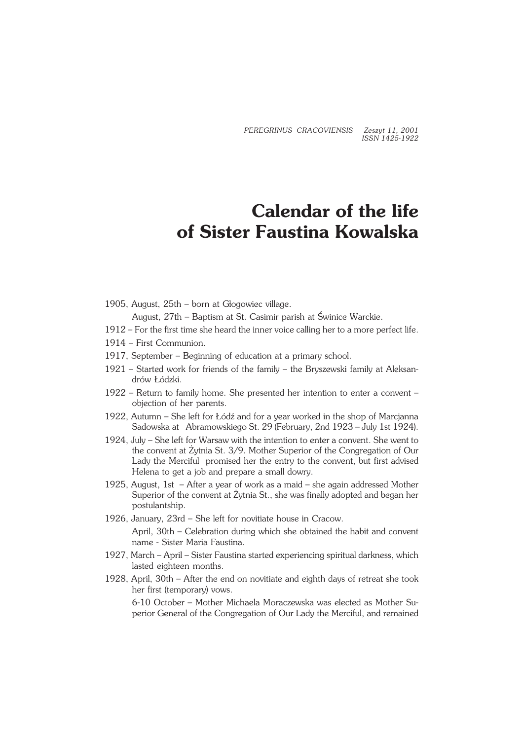*PEREGRINUS CRACOVIENSIS Zeszyt 11, 2001 ISSN 1425−1922*

## **Calendar of the life of Sister Faustina Kowalska**

1905, August, 25th – born at Głogowiec village.

August, 27th – Baptism at St. Casimir parish at Świnice Warckie.

- 1912 For the first time she heard the inner voice calling her to a more perfect life.
- 1914 First Communion.
- 1917, September Beginning of education at a primary school.
- 1921 Started work for friends of the family the Bryszewski family at Aleksan− drów Łódzki.
- 1922 Return to family home. She presented her intention to enter a convent objection of her parents.
- 1922, Autumn She left for Łódź and for a year worked in the shop of Marcjanna Sadowska at Abramowskiego St. 29 (February, 2nd 1923 – July 1st 1924).
- 1924, July She left for Warsaw with the intention to enter a convent. She went to the convent at Żytnia St. 3/9. Mother Superior of the Congregation of Our Lady the Merciful promised her the entry to the convent, but first advised Helena to get a job and prepare a small dowry.
- 1925, August, 1st After a year of work as a maid she again addressed Mother Superior of the convent at Żytnia St., she was finally adopted and began her postulantship.
- 1926, January, 23rd She left for novitiate house in Cracow. April, 30th – Celebration during which she obtained the habit and convent name − Sister Maria Faustina.
- 1927, March April Sister Faustina started experiencing spiritual darkness, which lasted eighteen months.
- 1928, April, 30th After the end on novitiate and eighth days of retreat she took her first (temporary) vows.

6−10 October – Mother Michaela Moraczewska was elected as Mother Su− perior General of the Congregation of Our Lady the Merciful, and remained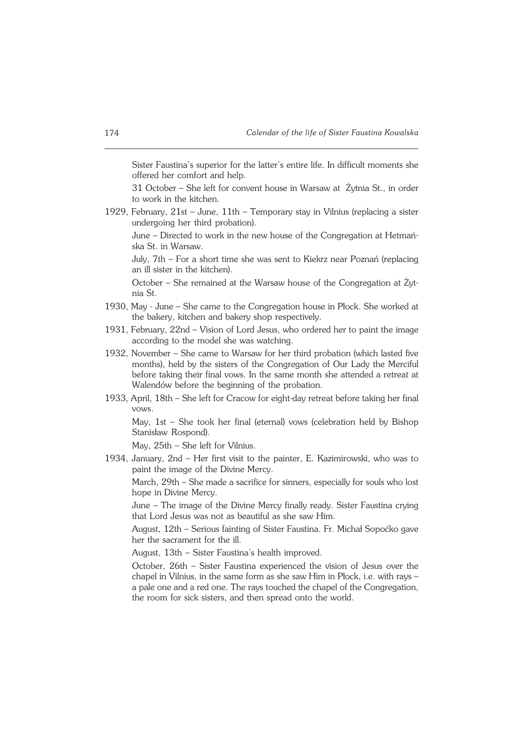Sister Faustina's superior for the latter's entire life. In difficult moments she offered her comfort and help.

31 October – She left for convent house in Warsaw at Żytnia St., in order to work in the kitchen.

1929, February, 21st – June, 11th – Temporary stay in Vilnius (replacing a sister undergoing her third probation).

June – Directed to work in the new house of the Congregation at Hetmań− ska St. in Warsaw.

July, 7th – For a short time she was sent to Kiekrz near Poznań (replacing an ill sister in the kitchen).

October – She remained at the Warsaw house of the Congregation at Żyt− niaSt.

- 1930, May − June She came to the Congregation house in Płock. She worked at the bakery, kitchen and bakery shop respectively.
- 1931, February, 22nd Vision of Lord Jesus, who ordered her to paint the image according to the model she was watching.
- 1932, November She came to Warsaw for her third probation (which lasted five months), held by the sisters of the Congregation of Our Lady the Merciful before taking their final vows. In the same month she attended a retreat at Walendów before the beginning of the probation.
- 1933, April, 18th She left for Cracow for eight−day retreat before taking her final vows.

May, 1st – She took her final (eternal) vows (celebration held by Bishop Stanisław Rospond).

May, 25th – She left for Vilnius.

1934, January, 2nd – Her first visit to the painter, E. Kazimirowski, who was to paint the image of the Divine Mercy.

March, 29th – She made a sacrifice for sinners, especially for souls who lost hope in Divine Mercy.

June – The image of the Divine Mercy finally ready. Sister Faustina crying that Lord Jesus was not as beautiful as she saw Him.

August, 12th – Serious fainting of Sister Faustina. Fr. Michał Sopoćko gave her the sacrament for the ill.

August, 13th – Sister Faustina's health improved.

October, 26th – Sister Faustina experienced the vision of Jesus over the chapel in Vilnius, in the same form as she saw Him in Płock, i.e. with rays – a pale one and a red one. The rays touched the chapel of the Congregation, the room for sick sisters, and then spread onto the world.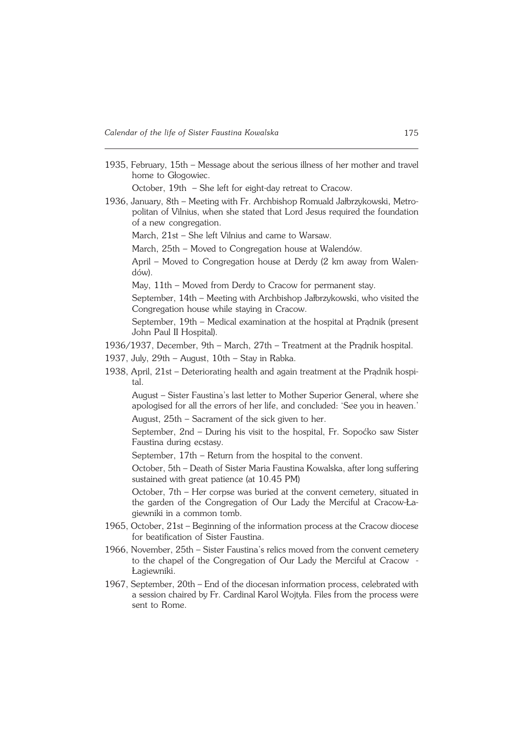1935, February, 15th – Message about the serious illness of her mother and travel home to Głogowiec.

October, 19th – She left for eight−day retreat to Cracow.

1936, January, 8th – Meeting with Fr. Archbishop Romuald Jałbrzykowski, Metro− politan of Vilnius, when she stated that Lord Jesus required the foundation of a new congregation.

March, 21st – She left Vilnius and came to Warsaw.

March, 25th – Moved to Congregation house at Walendów.

April – Moved to Congregation house at Derdy (2 km away from Walen− dów).

May, 11th – Moved from Derdy to Cracow for permanent stay.

September, 14th – Meeting with Archbishop Jałbrzykowski, who visited the Congregation house while staying in Cracow.

September, 19th – Medical examination at the hospital at Prądnik (present John Paul II Hospital).

- 1936/1937, December, 9th March, 27th Treatment at the Prądnik hospital.
- 1937, July, 29th August, 10th Stay in Rabka.
- 1938, April, 21st Deteriorating health and again treatment at the Prądnik hospi− tal.

August – Sister Faustina's last letter to Mother Superior General, where she apologised for all the errors of her life, and concluded: 'See you in heaven.' August, 25th – Sacrament of the sick given to her.

September, 2nd – During his visit to the hospital, Fr. Sopoćko saw Sister Faustina during ecstasy.

September, 17th – Return from the hospital to the convent.

October, 5th – Death of Sister Maria Faustina Kowalska, after long suffering sustained with great patience (at 10.45 PM)

October, 7th – Her corpse was buried at the convent cemetery, situated in the garden of the Congregation of Our Lady the Merciful at Cracow−Ła− giewniki in a common tomb.

- 1965, October, 21st Beginning of the information process at the Cracow diocese for beatification of Sister Faustina.
- 1966, November, 25th Sister Faustina's relics moved from the convent cemetery to the chapel of the Congregation of Our Lady the Merciful at Cracow − Łagiewniki.
- 1967, September, 20th End of the diocesan information process, celebrated with a session chaired by Fr. Cardinal Karol Wojtyła. Files from the process were sent to Rome.